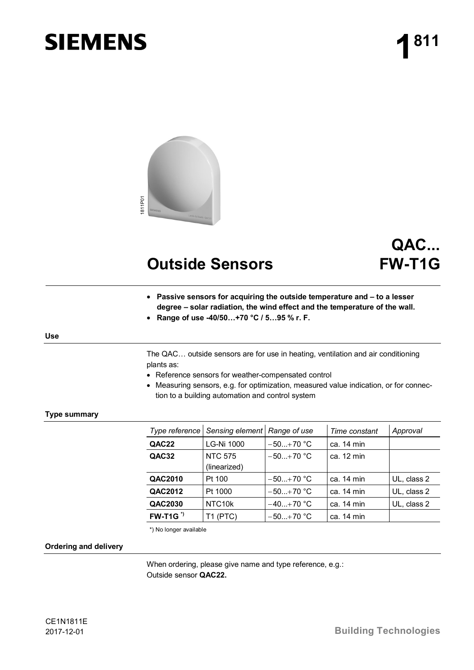# **SIEMENS**



# **Outside Sensors**

# **QAC... FW-T1G**

- **Passive sensors for acquiring the outside temperature and to a lesser degree – solar radiation, the wind effect and the temperature of the wall.**
- x **Range of use -40/50…+70 °C / 5…95 % r. F.**

# **Use**

The QAC… outside sensors are for use in heating, ventilation and air conditioning plants as:

- Reference sensors for weather-compensated control
- Measuring sensors, e.g. for optimization, measured value indication, or for connection to a building automation and control system

# **Type summary**

|                   | Type reference Sensing element Range of use |               | Time constant | Approval    |
|-------------------|---------------------------------------------|---------------|---------------|-------------|
| QAC22             | LG-Ni 1000                                  | $-50+70$ °C   | ca. 14 min    |             |
| QAC32             | <b>NTC 575</b>                              | $-50. +70$ °C | ca. 12 min    |             |
|                   | (linearized)                                |               |               |             |
| QAC2010           | Pt 100                                      | $-50+70$ °C   | ca. 14 min    | UL, class 2 |
| QAC2012           | Pt 1000                                     | $-50+70$ °C   | ca. 14 min    | UL, class 2 |
| QAC2030           | NTC10k                                      | $-40+70$ °C   | ca. 14 min    | UL, class 2 |
| $FW-T1G^{\prime}$ | T1 (PTC)                                    | $-50+70$ °C   | ca. 14 min    |             |

\*) No longer available

#### **Ordering and delivery**

When ordering, please give name and type reference, e.g.: Outside sensor **QAC22.**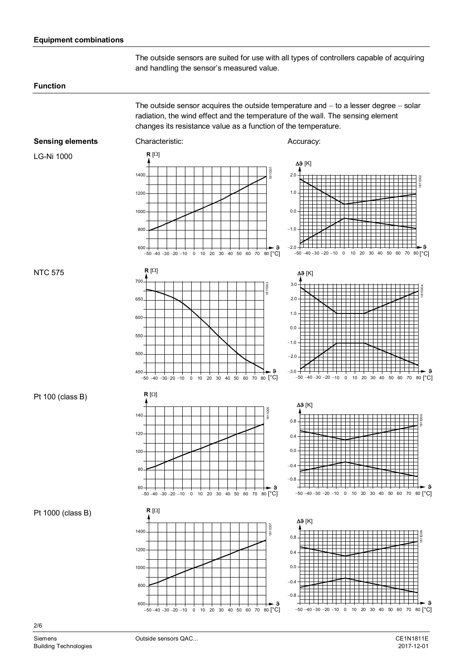# **Equipment combinations**

The outside sensors are suited for use with all types of controllers capable of acquiring and handling the sensor's measured value.

#### **Function**

The outside sensor acquires the outside temperature and  $-$  to a lesser degree  $-$  solar radiation, the wind effect and the temperature of the wall. The sensing element changes its resistance value as a function of the temperature.

Δ**θ** [K]

# **Sensing elements**

LG-Ni 1000

NTC 575



Characteristic: Accuracy:

 $R [\Omega]$ 



80<sup>[°</sup>C]

**.** 

1811D02

# Pt 100 (class B)



 $-50 - 40 - 30 - 20 - 10$  0 10 20 30 40 50 60 0.8  $0.4$ 0.0  $-0.4$ Δ**9** [K] 8 1811D06 70 80 [°C]  $-0.8$ 

Pt 1000 (class B)





2/6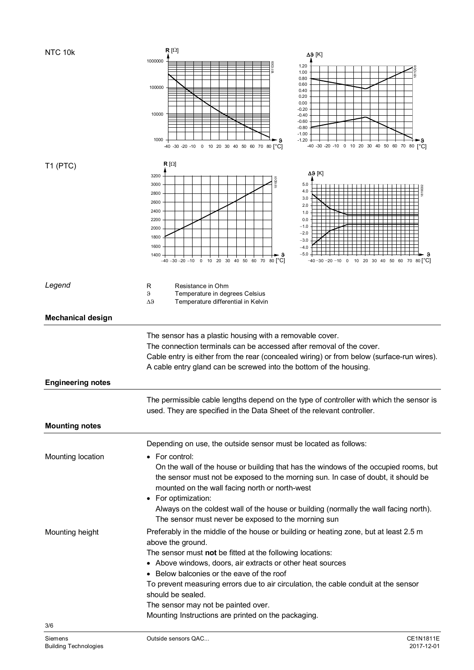| 1000000<br>811D0<br>1.20<br>1.00<br>0.80<br>0.60<br>100000<br>0.40<br>0.20<br>0.00<br>$-0.20$<br>10000<br>$-0.40$<br>$-0.60$<br>$-0.80$<br>$-1.00$<br>1000<br>$-1.20$<br>-40 -30 -20 -10 0 10 20 30 40 50 60 70<br>80 [°C]<br>-40 -30 -20 -10 0 10 20 30 40 50 60 70 80 °C1<br>$R[\Omega]$<br>T1 (PTC)<br>Δ9 [K]<br>3200<br>1819001<br>3000<br>5.0<br>4.0<br>2800<br>3.0<br>2600<br>2.0<br>2400<br>1.0<br>2200<br>0.0<br>$-1.0$<br>2000<br>$-2.0$<br>1800<br>$-3.0$<br>1600<br>$-4.0$<br>$-5.0$<br>1400<br>$-40 - 30 - 20 - 10$ 0 10 20 30 40 50 60 70 80 $^{\circ}$ C<br>−40−30−20−10 0 10 20 30 40 50 60 70 80[°C]<br>Legend<br>Resistance in Ohm<br>R<br>$\theta$<br>Temperature in degrees Celsius<br>$\Delta \vartheta$<br>Temperature differential in Kelvin<br><b>Mechanical design</b><br>The sensor has a plastic housing with a removable cover.<br>The connection terminals can be accessed after removal of the cover.<br>Cable entry is either from the rear (concealed wiring) or from below (surface-run wires).<br>A cable entry gland can be screwed into the bottom of the housing.<br><b>Engineering notes</b><br>The permissible cable lengths depend on the type of controller with which the sensor is<br>used. They are specified in the Data Sheet of the relevant controller.<br><b>Mounting notes</b><br>Depending on use, the outside sensor must be located as follows:<br>Mounting location<br>For control:<br>$\bullet$<br>On the wall of the house or building that has the windows of the occupied rooms, but<br>the sensor must not be exposed to the morning sun. In case of doubt, it should be<br>mounted on the wall facing north or north-west<br>• For optimization:<br>Always on the coldest wall of the house or building (normally the wall facing north).<br>The sensor must never be exposed to the morning sun<br>Preferably in the middle of the house or building or heating zone, but at least 2.5 m<br>Mounting height<br>above the ground.<br>The sensor must not be fitted at the following locations:<br>• Above windows, doors, air extracts or other heat sources<br>• Below balconies or the eave of the roof<br>To prevent measuring errors due to air circulation, the cable conduit at the sensor<br>should be sealed.<br>The sensor may not be painted over.<br>Mounting Instructions are printed on the packaging. | NTC 10k | $R[\Omega]$<br>Δ9 [K] |  |  |  |
|--------------------------------------------------------------------------------------------------------------------------------------------------------------------------------------------------------------------------------------------------------------------------------------------------------------------------------------------------------------------------------------------------------------------------------------------------------------------------------------------------------------------------------------------------------------------------------------------------------------------------------------------------------------------------------------------------------------------------------------------------------------------------------------------------------------------------------------------------------------------------------------------------------------------------------------------------------------------------------------------------------------------------------------------------------------------------------------------------------------------------------------------------------------------------------------------------------------------------------------------------------------------------------------------------------------------------------------------------------------------------------------------------------------------------------------------------------------------------------------------------------------------------------------------------------------------------------------------------------------------------------------------------------------------------------------------------------------------------------------------------------------------------------------------------------------------------------------------------------------------------------------------------------------------------------------------------------------------------------------------------------------------------------------------------------------------------------------------------------------------------------------------------------------------------------------------------------------------------------------------------------------------------------------------------------------------------------------------------------------------------------|---------|-----------------------|--|--|--|
|                                                                                                                                                                                                                                                                                                                                                                                                                                                                                                                                                                                                                                                                                                                                                                                                                                                                                                                                                                                                                                                                                                                                                                                                                                                                                                                                                                                                                                                                                                                                                                                                                                                                                                                                                                                                                                                                                                                                                                                                                                                                                                                                                                                                                                                                                                                                                                                |         |                       |  |  |  |
|                                                                                                                                                                                                                                                                                                                                                                                                                                                                                                                                                                                                                                                                                                                                                                                                                                                                                                                                                                                                                                                                                                                                                                                                                                                                                                                                                                                                                                                                                                                                                                                                                                                                                                                                                                                                                                                                                                                                                                                                                                                                                                                                                                                                                                                                                                                                                                                |         |                       |  |  |  |
|                                                                                                                                                                                                                                                                                                                                                                                                                                                                                                                                                                                                                                                                                                                                                                                                                                                                                                                                                                                                                                                                                                                                                                                                                                                                                                                                                                                                                                                                                                                                                                                                                                                                                                                                                                                                                                                                                                                                                                                                                                                                                                                                                                                                                                                                                                                                                                                |         |                       |  |  |  |
|                                                                                                                                                                                                                                                                                                                                                                                                                                                                                                                                                                                                                                                                                                                                                                                                                                                                                                                                                                                                                                                                                                                                                                                                                                                                                                                                                                                                                                                                                                                                                                                                                                                                                                                                                                                                                                                                                                                                                                                                                                                                                                                                                                                                                                                                                                                                                                                |         |                       |  |  |  |
|                                                                                                                                                                                                                                                                                                                                                                                                                                                                                                                                                                                                                                                                                                                                                                                                                                                                                                                                                                                                                                                                                                                                                                                                                                                                                                                                                                                                                                                                                                                                                                                                                                                                                                                                                                                                                                                                                                                                                                                                                                                                                                                                                                                                                                                                                                                                                                                |         |                       |  |  |  |
|                                                                                                                                                                                                                                                                                                                                                                                                                                                                                                                                                                                                                                                                                                                                                                                                                                                                                                                                                                                                                                                                                                                                                                                                                                                                                                                                                                                                                                                                                                                                                                                                                                                                                                                                                                                                                                                                                                                                                                                                                                                                                                                                                                                                                                                                                                                                                                                |         |                       |  |  |  |
|                                                                                                                                                                                                                                                                                                                                                                                                                                                                                                                                                                                                                                                                                                                                                                                                                                                                                                                                                                                                                                                                                                                                                                                                                                                                                                                                                                                                                                                                                                                                                                                                                                                                                                                                                                                                                                                                                                                                                                                                                                                                                                                                                                                                                                                                                                                                                                                |         |                       |  |  |  |
|                                                                                                                                                                                                                                                                                                                                                                                                                                                                                                                                                                                                                                                                                                                                                                                                                                                                                                                                                                                                                                                                                                                                                                                                                                                                                                                                                                                                                                                                                                                                                                                                                                                                                                                                                                                                                                                                                                                                                                                                                                                                                                                                                                                                                                                                                                                                                                                |         |                       |  |  |  |
|                                                                                                                                                                                                                                                                                                                                                                                                                                                                                                                                                                                                                                                                                                                                                                                                                                                                                                                                                                                                                                                                                                                                                                                                                                                                                                                                                                                                                                                                                                                                                                                                                                                                                                                                                                                                                                                                                                                                                                                                                                                                                                                                                                                                                                                                                                                                                                                |         |                       |  |  |  |
|                                                                                                                                                                                                                                                                                                                                                                                                                                                                                                                                                                                                                                                                                                                                                                                                                                                                                                                                                                                                                                                                                                                                                                                                                                                                                                                                                                                                                                                                                                                                                                                                                                                                                                                                                                                                                                                                                                                                                                                                                                                                                                                                                                                                                                                                                                                                                                                |         |                       |  |  |  |
|                                                                                                                                                                                                                                                                                                                                                                                                                                                                                                                                                                                                                                                                                                                                                                                                                                                                                                                                                                                                                                                                                                                                                                                                                                                                                                                                                                                                                                                                                                                                                                                                                                                                                                                                                                                                                                                                                                                                                                                                                                                                                                                                                                                                                                                                                                                                                                                |         |                       |  |  |  |
|                                                                                                                                                                                                                                                                                                                                                                                                                                                                                                                                                                                                                                                                                                                                                                                                                                                                                                                                                                                                                                                                                                                                                                                                                                                                                                                                                                                                                                                                                                                                                                                                                                                                                                                                                                                                                                                                                                                                                                                                                                                                                                                                                                                                                                                                                                                                                                                |         |                       |  |  |  |
|                                                                                                                                                                                                                                                                                                                                                                                                                                                                                                                                                                                                                                                                                                                                                                                                                                                                                                                                                                                                                                                                                                                                                                                                                                                                                                                                                                                                                                                                                                                                                                                                                                                                                                                                                                                                                                                                                                                                                                                                                                                                                                                                                                                                                                                                                                                                                                                |         |                       |  |  |  |
|                                                                                                                                                                                                                                                                                                                                                                                                                                                                                                                                                                                                                                                                                                                                                                                                                                                                                                                                                                                                                                                                                                                                                                                                                                                                                                                                                                                                                                                                                                                                                                                                                                                                                                                                                                                                                                                                                                                                                                                                                                                                                                                                                                                                                                                                                                                                                                                |         |                       |  |  |  |
|                                                                                                                                                                                                                                                                                                                                                                                                                                                                                                                                                                                                                                                                                                                                                                                                                                                                                                                                                                                                                                                                                                                                                                                                                                                                                                                                                                                                                                                                                                                                                                                                                                                                                                                                                                                                                                                                                                                                                                                                                                                                                                                                                                                                                                                                                                                                                                                |         |                       |  |  |  |
|                                                                                                                                                                                                                                                                                                                                                                                                                                                                                                                                                                                                                                                                                                                                                                                                                                                                                                                                                                                                                                                                                                                                                                                                                                                                                                                                                                                                                                                                                                                                                                                                                                                                                                                                                                                                                                                                                                                                                                                                                                                                                                                                                                                                                                                                                                                                                                                |         |                       |  |  |  |
|                                                                                                                                                                                                                                                                                                                                                                                                                                                                                                                                                                                                                                                                                                                                                                                                                                                                                                                                                                                                                                                                                                                                                                                                                                                                                                                                                                                                                                                                                                                                                                                                                                                                                                                                                                                                                                                                                                                                                                                                                                                                                                                                                                                                                                                                                                                                                                                |         |                       |  |  |  |
|                                                                                                                                                                                                                                                                                                                                                                                                                                                                                                                                                                                                                                                                                                                                                                                                                                                                                                                                                                                                                                                                                                                                                                                                                                                                                                                                                                                                                                                                                                                                                                                                                                                                                                                                                                                                                                                                                                                                                                                                                                                                                                                                                                                                                                                                                                                                                                                |         |                       |  |  |  |
|                                                                                                                                                                                                                                                                                                                                                                                                                                                                                                                                                                                                                                                                                                                                                                                                                                                                                                                                                                                                                                                                                                                                                                                                                                                                                                                                                                                                                                                                                                                                                                                                                                                                                                                                                                                                                                                                                                                                                                                                                                                                                                                                                                                                                                                                                                                                                                                |         |                       |  |  |  |
|                                                                                                                                                                                                                                                                                                                                                                                                                                                                                                                                                                                                                                                                                                                                                                                                                                                                                                                                                                                                                                                                                                                                                                                                                                                                                                                                                                                                                                                                                                                                                                                                                                                                                                                                                                                                                                                                                                                                                                                                                                                                                                                                                                                                                                                                                                                                                                                |         |                       |  |  |  |
|                                                                                                                                                                                                                                                                                                                                                                                                                                                                                                                                                                                                                                                                                                                                                                                                                                                                                                                                                                                                                                                                                                                                                                                                                                                                                                                                                                                                                                                                                                                                                                                                                                                                                                                                                                                                                                                                                                                                                                                                                                                                                                                                                                                                                                                                                                                                                                                |         |                       |  |  |  |
|                                                                                                                                                                                                                                                                                                                                                                                                                                                                                                                                                                                                                                                                                                                                                                                                                                                                                                                                                                                                                                                                                                                                                                                                                                                                                                                                                                                                                                                                                                                                                                                                                                                                                                                                                                                                                                                                                                                                                                                                                                                                                                                                                                                                                                                                                                                                                                                |         |                       |  |  |  |
|                                                                                                                                                                                                                                                                                                                                                                                                                                                                                                                                                                                                                                                                                                                                                                                                                                                                                                                                                                                                                                                                                                                                                                                                                                                                                                                                                                                                                                                                                                                                                                                                                                                                                                                                                                                                                                                                                                                                                                                                                                                                                                                                                                                                                                                                                                                                                                                |         |                       |  |  |  |
|                                                                                                                                                                                                                                                                                                                                                                                                                                                                                                                                                                                                                                                                                                                                                                                                                                                                                                                                                                                                                                                                                                                                                                                                                                                                                                                                                                                                                                                                                                                                                                                                                                                                                                                                                                                                                                                                                                                                                                                                                                                                                                                                                                                                                                                                                                                                                                                |         |                       |  |  |  |
|                                                                                                                                                                                                                                                                                                                                                                                                                                                                                                                                                                                                                                                                                                                                                                                                                                                                                                                                                                                                                                                                                                                                                                                                                                                                                                                                                                                                                                                                                                                                                                                                                                                                                                                                                                                                                                                                                                                                                                                                                                                                                                                                                                                                                                                                                                                                                                                |         |                       |  |  |  |
|                                                                                                                                                                                                                                                                                                                                                                                                                                                                                                                                                                                                                                                                                                                                                                                                                                                                                                                                                                                                                                                                                                                                                                                                                                                                                                                                                                                                                                                                                                                                                                                                                                                                                                                                                                                                                                                                                                                                                                                                                                                                                                                                                                                                                                                                                                                                                                                |         |                       |  |  |  |
|                                                                                                                                                                                                                                                                                                                                                                                                                                                                                                                                                                                                                                                                                                                                                                                                                                                                                                                                                                                                                                                                                                                                                                                                                                                                                                                                                                                                                                                                                                                                                                                                                                                                                                                                                                                                                                                                                                                                                                                                                                                                                                                                                                                                                                                                                                                                                                                |         |                       |  |  |  |
|                                                                                                                                                                                                                                                                                                                                                                                                                                                                                                                                                                                                                                                                                                                                                                                                                                                                                                                                                                                                                                                                                                                                                                                                                                                                                                                                                                                                                                                                                                                                                                                                                                                                                                                                                                                                                                                                                                                                                                                                                                                                                                                                                                                                                                                                                                                                                                                |         |                       |  |  |  |
|                                                                                                                                                                                                                                                                                                                                                                                                                                                                                                                                                                                                                                                                                                                                                                                                                                                                                                                                                                                                                                                                                                                                                                                                                                                                                                                                                                                                                                                                                                                                                                                                                                                                                                                                                                                                                                                                                                                                                                                                                                                                                                                                                                                                                                                                                                                                                                                |         |                       |  |  |  |
|                                                                                                                                                                                                                                                                                                                                                                                                                                                                                                                                                                                                                                                                                                                                                                                                                                                                                                                                                                                                                                                                                                                                                                                                                                                                                                                                                                                                                                                                                                                                                                                                                                                                                                                                                                                                                                                                                                                                                                                                                                                                                                                                                                                                                                                                                                                                                                                |         |                       |  |  |  |
|                                                                                                                                                                                                                                                                                                                                                                                                                                                                                                                                                                                                                                                                                                                                                                                                                                                                                                                                                                                                                                                                                                                                                                                                                                                                                                                                                                                                                                                                                                                                                                                                                                                                                                                                                                                                                                                                                                                                                                                                                                                                                                                                                                                                                                                                                                                                                                                |         |                       |  |  |  |
|                                                                                                                                                                                                                                                                                                                                                                                                                                                                                                                                                                                                                                                                                                                                                                                                                                                                                                                                                                                                                                                                                                                                                                                                                                                                                                                                                                                                                                                                                                                                                                                                                                                                                                                                                                                                                                                                                                                                                                                                                                                                                                                                                                                                                                                                                                                                                                                |         |                       |  |  |  |
|                                                                                                                                                                                                                                                                                                                                                                                                                                                                                                                                                                                                                                                                                                                                                                                                                                                                                                                                                                                                                                                                                                                                                                                                                                                                                                                                                                                                                                                                                                                                                                                                                                                                                                                                                                                                                                                                                                                                                                                                                                                                                                                                                                                                                                                                                                                                                                                |         |                       |  |  |  |
|                                                                                                                                                                                                                                                                                                                                                                                                                                                                                                                                                                                                                                                                                                                                                                                                                                                                                                                                                                                                                                                                                                                                                                                                                                                                                                                                                                                                                                                                                                                                                                                                                                                                                                                                                                                                                                                                                                                                                                                                                                                                                                                                                                                                                                                                                                                                                                                |         |                       |  |  |  |
|                                                                                                                                                                                                                                                                                                                                                                                                                                                                                                                                                                                                                                                                                                                                                                                                                                                                                                                                                                                                                                                                                                                                                                                                                                                                                                                                                                                                                                                                                                                                                                                                                                                                                                                                                                                                                                                                                                                                                                                                                                                                                                                                                                                                                                                                                                                                                                                |         |                       |  |  |  |
|                                                                                                                                                                                                                                                                                                                                                                                                                                                                                                                                                                                                                                                                                                                                                                                                                                                                                                                                                                                                                                                                                                                                                                                                                                                                                                                                                                                                                                                                                                                                                                                                                                                                                                                                                                                                                                                                                                                                                                                                                                                                                                                                                                                                                                                                                                                                                                                |         |                       |  |  |  |
|                                                                                                                                                                                                                                                                                                                                                                                                                                                                                                                                                                                                                                                                                                                                                                                                                                                                                                                                                                                                                                                                                                                                                                                                                                                                                                                                                                                                                                                                                                                                                                                                                                                                                                                                                                                                                                                                                                                                                                                                                                                                                                                                                                                                                                                                                                                                                                                |         |                       |  |  |  |
|                                                                                                                                                                                                                                                                                                                                                                                                                                                                                                                                                                                                                                                                                                                                                                                                                                                                                                                                                                                                                                                                                                                                                                                                                                                                                                                                                                                                                                                                                                                                                                                                                                                                                                                                                                                                                                                                                                                                                                                                                                                                                                                                                                                                                                                                                                                                                                                |         |                       |  |  |  |
|                                                                                                                                                                                                                                                                                                                                                                                                                                                                                                                                                                                                                                                                                                                                                                                                                                                                                                                                                                                                                                                                                                                                                                                                                                                                                                                                                                                                                                                                                                                                                                                                                                                                                                                                                                                                                                                                                                                                                                                                                                                                                                                                                                                                                                                                                                                                                                                |         |                       |  |  |  |
|                                                                                                                                                                                                                                                                                                                                                                                                                                                                                                                                                                                                                                                                                                                                                                                                                                                                                                                                                                                                                                                                                                                                                                                                                                                                                                                                                                                                                                                                                                                                                                                                                                                                                                                                                                                                                                                                                                                                                                                                                                                                                                                                                                                                                                                                                                                                                                                |         |                       |  |  |  |
|                                                                                                                                                                                                                                                                                                                                                                                                                                                                                                                                                                                                                                                                                                                                                                                                                                                                                                                                                                                                                                                                                                                                                                                                                                                                                                                                                                                                                                                                                                                                                                                                                                                                                                                                                                                                                                                                                                                                                                                                                                                                                                                                                                                                                                                                                                                                                                                |         |                       |  |  |  |
|                                                                                                                                                                                                                                                                                                                                                                                                                                                                                                                                                                                                                                                                                                                                                                                                                                                                                                                                                                                                                                                                                                                                                                                                                                                                                                                                                                                                                                                                                                                                                                                                                                                                                                                                                                                                                                                                                                                                                                                                                                                                                                                                                                                                                                                                                                                                                                                |         |                       |  |  |  |
|                                                                                                                                                                                                                                                                                                                                                                                                                                                                                                                                                                                                                                                                                                                                                                                                                                                                                                                                                                                                                                                                                                                                                                                                                                                                                                                                                                                                                                                                                                                                                                                                                                                                                                                                                                                                                                                                                                                                                                                                                                                                                                                                                                                                                                                                                                                                                                                | 3/6     |                       |  |  |  |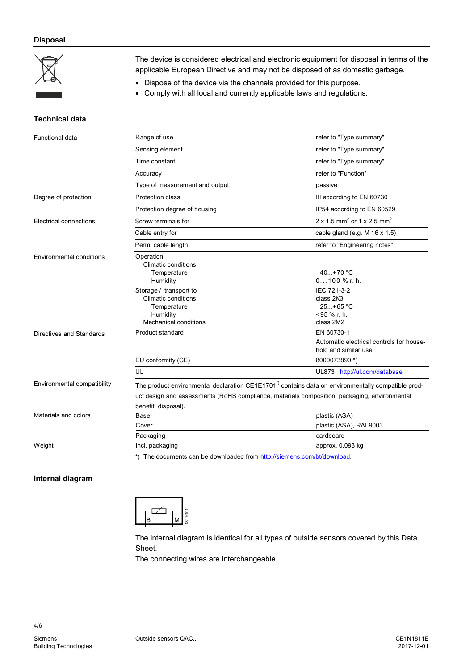### **Disposal**



The device is considered electrical and electronic equipment for disposal in terms of the applicable European Directive and may not be disposed of as domestic garbage.

• Dispose of the device via the channels provided for this purpose.

• Comply with all local and currently applicable laws and regulations.

#### **Technical data**

| Functional data                 | Range of use                                                                                                                                                                                                                           | refer to "Type summary"                                                                         |  |
|---------------------------------|----------------------------------------------------------------------------------------------------------------------------------------------------------------------------------------------------------------------------------------|-------------------------------------------------------------------------------------------------|--|
|                                 | Sensing element                                                                                                                                                                                                                        | refer to "Type summary"                                                                         |  |
|                                 | Time constant                                                                                                                                                                                                                          | refer to "Type summary"                                                                         |  |
|                                 | Accuracy                                                                                                                                                                                                                               | refer to "Function"                                                                             |  |
|                                 | Type of measurement and output                                                                                                                                                                                                         | passive                                                                                         |  |
| Degree of protection            | Protection class                                                                                                                                                                                                                       | III according to EN 60730                                                                       |  |
|                                 | Protection degree of housing                                                                                                                                                                                                           | IP54 according to EN 60529                                                                      |  |
| Electrical connections          | Screw terminals for                                                                                                                                                                                                                    | $2 \times 1.5$ mm <sup>2</sup> or $1 \times 2.5$ mm <sup>2</sup>                                |  |
|                                 | Cable entry for                                                                                                                                                                                                                        | cable gland (e.g. M $16 \times 1.5$ )                                                           |  |
|                                 | Perm. cable length                                                                                                                                                                                                                     | refer to "Engineering notes"                                                                    |  |
| <b>Environmental conditions</b> | Operation<br><b>Climatic conditions</b><br>Temperature<br>Humidity                                                                                                                                                                     | $-40+70$ °C<br>$0100$ % r. h.                                                                   |  |
|                                 | Storage / transport to<br><b>Climatic conditions</b><br>Temperature<br>Humidity<br>Mechanical conditions                                                                                                                               | IEC 721-3-2<br>class 2K3<br>$-25+65$ °C<br><95 % r. h.<br>class 2M2                             |  |
| Directives and Standards        | Product standard<br>EU conformity (CE)                                                                                                                                                                                                 | EN 60730-1<br>Automatic electrical controls for house-<br>hold and similar use<br>8000073890 *) |  |
|                                 | UL                                                                                                                                                                                                                                     | UL873 http://ul.com/database                                                                    |  |
| Environmental compatibility     | The product environmental declaration CE1E1701 <sup>-</sup> ) contains data on environmentally compatible prod-<br>uct design and assessments (RoHS compliance, materials composition, packaging, environmental<br>benefit, disposal). |                                                                                                 |  |
| Materials and colors            | Base                                                                                                                                                                                                                                   | plastic (ASA)                                                                                   |  |
|                                 | plastic (ASA), RAL9003<br>Cover                                                                                                                                                                                                        |                                                                                                 |  |
|                                 | Packaging                                                                                                                                                                                                                              | cardboard                                                                                       |  |
| Weight                          | Incl. packaging                                                                                                                                                                                                                        | approx. 0.093 kg                                                                                |  |
|                                 | *) The documents can be downloaded from http://siemens.com/bt/download.                                                                                                                                                                |                                                                                                 |  |

#### **Internal diagram**



The internal diagram is identical for all types of outside sensors covered by this Data Sheet.

The connecting wires are interchangeable.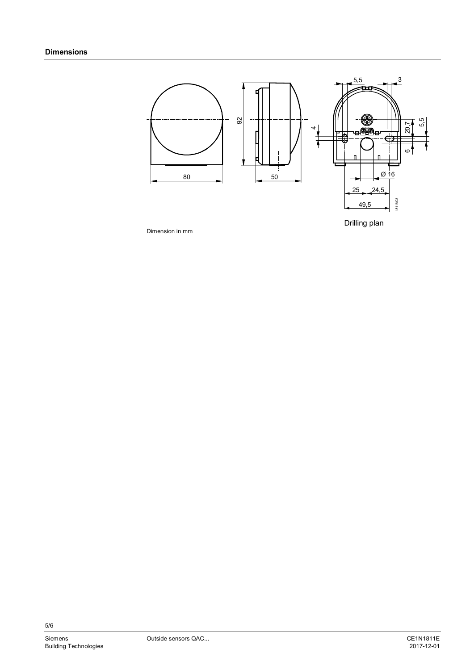

Drilling plan

Dimension in mm

5/6